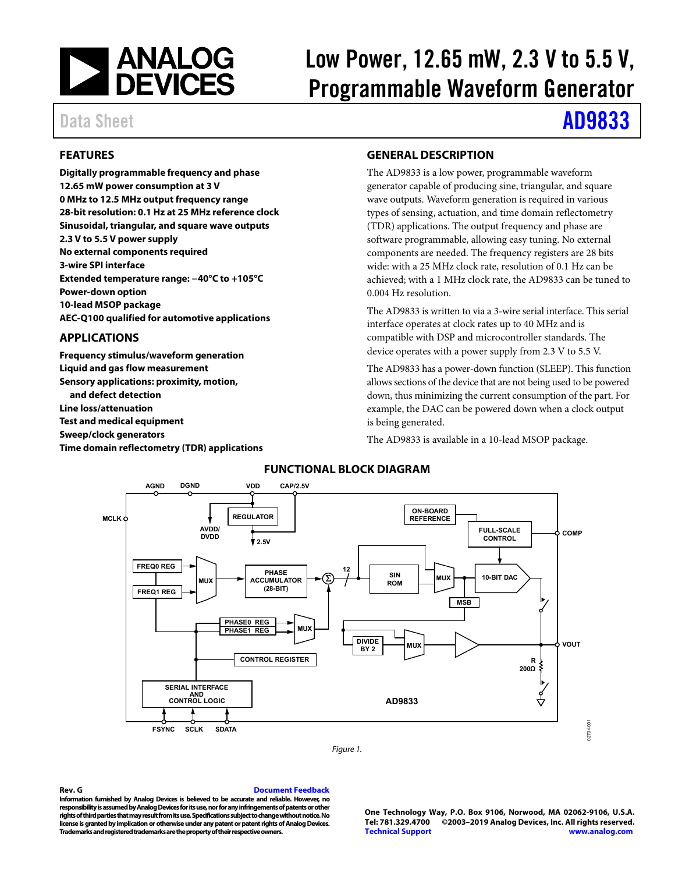

# Low Power, 12.65 mW, 2.3 V to 5.5 V, Programmable Waveform Generator

# Data Sheet **[AD9833](https://www.analog.com/ad9833?doc=ad9833.pdf)**

# <span id="page-0-0"></span>**FEATURES**

**Digitally programmable frequency and phase 12.65 mW power consumption at 3 V 0 MHz to 12.5 MHz output frequency range 28-bit resolution: 0.1 Hz at 25 MHz reference clock Sinusoidal, triangular, and square wave outputs 2.3 V to 5.5 V power supply No external components required 3-wire SPI interface Extended temperature range: −40°C to +105°C Power-down option 10-lead MSOP package AEC-Q100 qualified for automotive applications** 

### **APPLICATIONS**

<span id="page-0-1"></span>**Frequency stimulus/waveform generation Liquid and gas flow measurement Sensory applications: proximity, motion, and defect detection Line loss/attenuation Test and medical equipment Sweep/clock generators Time domain reflectometry (TDR) applications** 

## <span id="page-0-2"></span>**GENERAL DESCRIPTION**

The AD9833 is a low power, programmable waveform generator capable of producing sine, triangular, and square wave outputs. Waveform generation is required in various types of sensing, actuation, and time domain reflectometry (TDR) applications. The output frequency and phase are software programmable, allowing easy tuning. No external components are needed. The frequency registers are 28 bits wide: with a 25 MHz clock rate, resolution of 0.1 Hz can be achieved; with a 1 MHz clock rate, the AD9833 can be tuned to 0.004 Hz resolution.

The AD9833 is written to via a 3-wire serial interface. This serial interface operates at clock rates up to 40 MHz and is compatible with DSP and microcontroller standards. The device operates with a power supply from 2.3 V to 5.5 V.

The AD9833 has a power-down function (SLEEP). This function allows sections of the device that are not being used to be powered down, thus minimizing the current consumption of the part. For example, the DAC can be powered down when a clock output is being generated.

The AD9833 is available in a 10-lead MSOP package.



<span id="page-0-3"></span>



**Rev. G [Document Feedback](https://form.analog.com/Form_Pages/feedback/documentfeedback.aspx?doc=%20AD9833.pdf&page=%201&product=AD9833&rev=G)  Information furnished by Analog Devices is believed to be accurate and reliable. However, no responsibility is assumed by Analog Devices for its use, nor for any infringements of patents or other rights of third parties that may result from its use. Specifications subject to change without notice. No license is granted by implication or otherwise under any patent or patent rights of Analog Devices. Trademarks and registered trademarks are the property of their respective owners.** 

#### **One Technology Way, P.O. Box 9106, Norwood, MA 02062-9106, U.S.A. Tel: 781.329.4700 ©2003–2019 Analog Devices, Inc. All rights reserved. [Technical Support](https://www.analog.com/en/content/technical_support_page/fca.html) [www.analog.com](https://www.analog.com/)**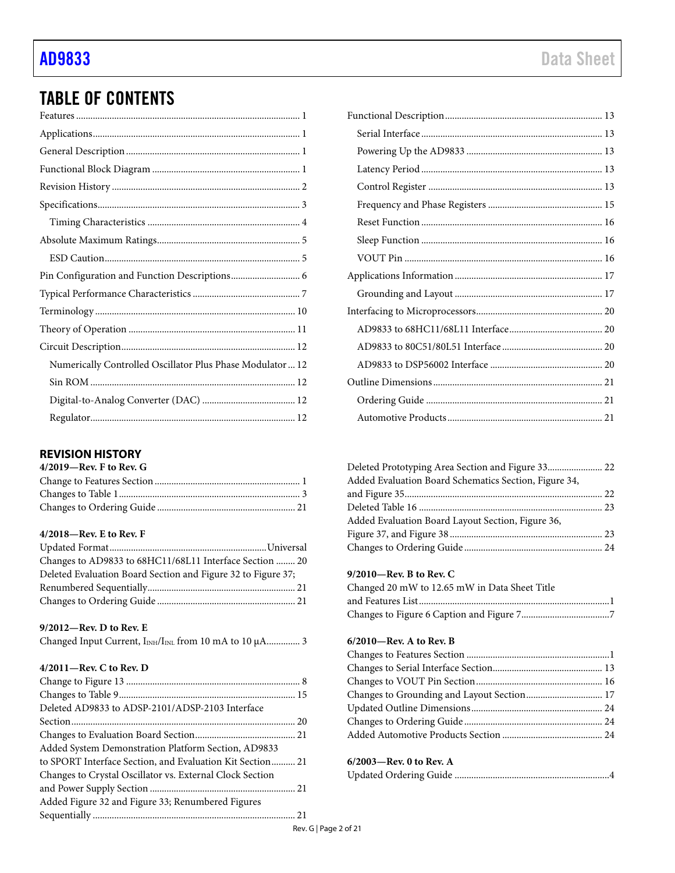# TABLE OF CONTENTS

| Numerically Controlled Oscillator Plus Phase Modulator  12 |
|------------------------------------------------------------|
|                                                            |
|                                                            |
|                                                            |

### <span id="page-1-0"></span>**REVISION HISTORY**

| $4/2019$ —Rev. F to Rev. G |  |
|----------------------------|--|
|                            |  |
|                            |  |
|                            |  |

## **4/2018—Rev. E to Rev. F**

| Changes to AD9833 to 68HC11/68L11 Interface Section  20      |  |
|--------------------------------------------------------------|--|
| Deleted Evaluation Board Section and Figure 32 to Figure 37; |  |
|                                                              |  |
|                                                              |  |

### **9/2012—Rev. D to Rev. E**

| Changed Input Current, I <sub>INH</sub> /I <sub>INL</sub> from 10 mA to 10 µA 3 |  |  |  |
|---------------------------------------------------------------------------------|--|--|--|
|---------------------------------------------------------------------------------|--|--|--|

### **4/2011—Rev. C to Rev. D**

| Deleted AD9833 to ADSP-2101/ADSP-2103 Interface           |  |
|-----------------------------------------------------------|--|
|                                                           |  |
|                                                           |  |
| Added System Demonstration Platform Section, AD9833       |  |
| to SPORT Interface Section, and Evaluation Kit Section 21 |  |
| Changes to Crystal Oscillator vs. External Clock Section  |  |
|                                                           |  |
| Added Figure 32 and Figure 33; Renumbered Figures         |  |
|                                                           |  |

| Added Evaluation Board Schematics Section, Figure 34, |  |
|-------------------------------------------------------|--|
|                                                       |  |
|                                                       |  |
| Added Evaluation Board Layout Section, Figure 36,     |  |
|                                                       |  |
|                                                       |  |

### **9/2010—Rev. B to Rev. C**

| Changed 20 mW to 12.65 mW in Data Sheet Title |  |
|-----------------------------------------------|--|
|                                               |  |
|                                               |  |

#### **6/2010—Rev. A to Rev. B**

| Changes to Grounding and Layout Section 17 |  |
|--------------------------------------------|--|
|                                            |  |
|                                            |  |
|                                            |  |

### **6/2003—Rev. 0 to Rev. A**

|--|--|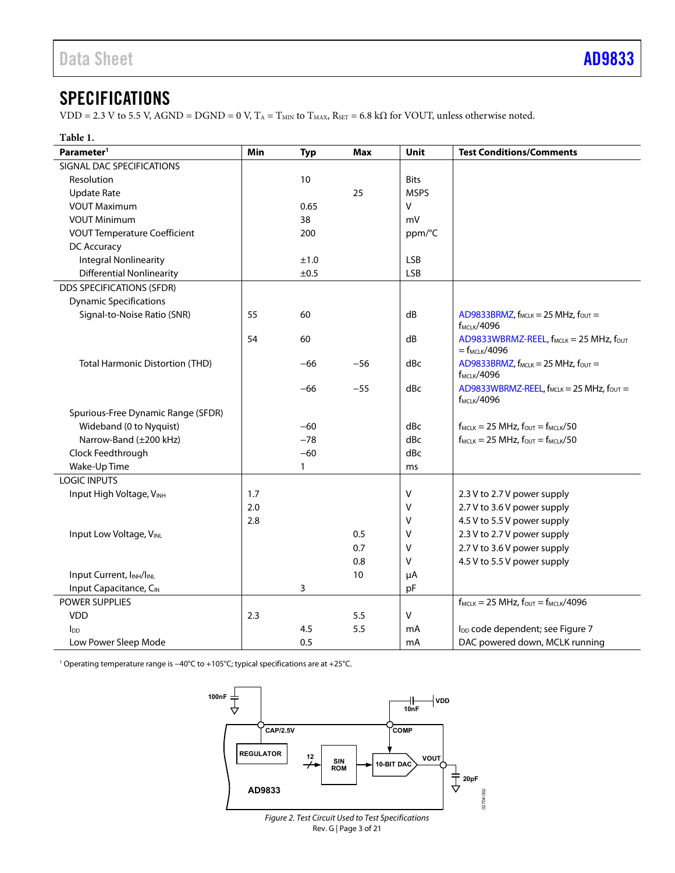# <span id="page-2-0"></span>SPECIFICATIONS

VDD = 2.3 V to 5.5 V, AGND = DGND = 0 V,  $T_A = T_{MIN}$  to  $T_{MAX}$ ,  $R_{SET} = 6.8$  k $\Omega$  for VOUT, unless otherwise noted.

| Table 1.                                          |     |            |            |             |                                                                                |
|---------------------------------------------------|-----|------------|------------|-------------|--------------------------------------------------------------------------------|
| Parameter <sup>1</sup>                            | Min | <b>Typ</b> | <b>Max</b> | <b>Unit</b> | <b>Test Conditions/Comments</b>                                                |
| SIGNAL DAC SPECIFICATIONS                         |     |            |            |             |                                                                                |
| Resolution                                        |     | 10         |            | <b>Bits</b> |                                                                                |
| Update Rate                                       |     |            | 25         | <b>MSPS</b> |                                                                                |
| <b>VOUT Maximum</b>                               |     | 0.65       |            | V           |                                                                                |
| <b>VOUT Minimum</b>                               |     | 38         |            | mV          |                                                                                |
| <b>VOUT Temperature Coefficient</b>               |     | 200        |            | ppm/°C      |                                                                                |
| DC Accuracy                                       |     |            |            |             |                                                                                |
| <b>Integral Nonlinearity</b>                      |     | ±1.0       |            | <b>LSB</b>  |                                                                                |
| <b>Differential Nonlinearity</b>                  |     | ±0.5       |            | LSB         |                                                                                |
| <b>DDS SPECIFICATIONS (SFDR)</b>                  |     |            |            |             |                                                                                |
| <b>Dynamic Specifications</b>                     |     |            |            |             |                                                                                |
| Signal-to-Noise Ratio (SNR)                       | 55  | 60         |            | dB          | AD9833BRMZ, f <sub>MCLK</sub> = 25 MHz, fout =<br><b>f<sub>MCLK</sub>/4096</b> |
|                                                   | 54  | 60         |            | dB          | AD9833WBRMZ-REEL, f <sub>MCLK</sub> = 25 MHz, fout<br>$=f_{MCLK}/4096$         |
| <b>Total Harmonic Distortion (THD)</b>            |     | $-66$      | $-56$      | dBc         | AD9833BRMZ, $f_{MCLK} = 25$ MHz, $f_{OUT} =$<br><b>f</b> мськ/4096             |
|                                                   |     | $-66$      | $-55$      | dBc         | AD9833WBRMZ-REEL, f <sub>MCLK</sub> = 25 MHz, fout =<br><b>fMCLK/4096</b>      |
| Spurious-Free Dynamic Range (SFDR)                |     |            |            |             |                                                                                |
| Wideband (0 to Nyquist)                           |     | $-60$      |            | dBc         | $f_{MCLK} = 25 MHz$ , $f_{OUT} = f_{MCLK}/50$                                  |
| Narrow-Band (±200 kHz)                            |     | $-78$      |            | dBc         | $f_{MCLK} = 25 \text{ MHz}, f_{OUT} = f_{MCLK}/50$                             |
| Clock Feedthrough                                 |     | $-60$      |            | dBc         |                                                                                |
| Wake-Up Time                                      |     | 1          |            | ms          |                                                                                |
| <b>LOGIC INPUTS</b>                               |     |            |            |             |                                                                                |
| Input High Voltage, VINH                          | 1.7 |            |            | V           | 2.3 V to 2.7 V power supply                                                    |
|                                                   | 2.0 |            |            | ٧           | 2.7 V to 3.6 V power supply                                                    |
|                                                   | 2.8 |            |            | ٧           | 4.5 V to 5.5 V power supply                                                    |
| Input Low Voltage, VINL                           |     |            | 0.5        | ٧           | 2.3 V to 2.7 V power supply                                                    |
|                                                   |     |            | 0.7        | ٧           | 2.7 V to 3.6 V power supply                                                    |
|                                                   |     |            | 0.8        | v           | 4.5 V to 5.5 V power supply                                                    |
| Input Current, I <sub>INH</sub> /I <sub>INL</sub> |     |            | 10         | μA          |                                                                                |
| Input Capacitance, CIN                            |     | 3          |            | pF          |                                                                                |
| <b>POWER SUPPLIES</b>                             |     |            |            |             | $f_{MCLK} = 25 \text{ MHz}, f_{OUT} = f_{MCLK}/4096$                           |
| <b>VDD</b>                                        | 2.3 |            | 5.5        | V           |                                                                                |
| <b>I</b> <sub>DD</sub>                            |     | 4.5        | 5.5        | mA          | l <sub>DD</sub> code dependent; see Figure 7                                   |
| Low Power Sleep Mode                              |     | 0.5        |            | mA          | DAC powered down, MCLK running                                                 |

<sup>1</sup> Operating temperature range is -40°C to +105°C; typical specifications are at +25°C.



Rev. G | Page 3 of 21 Figure 2. Test Circuit Used to Test Specifications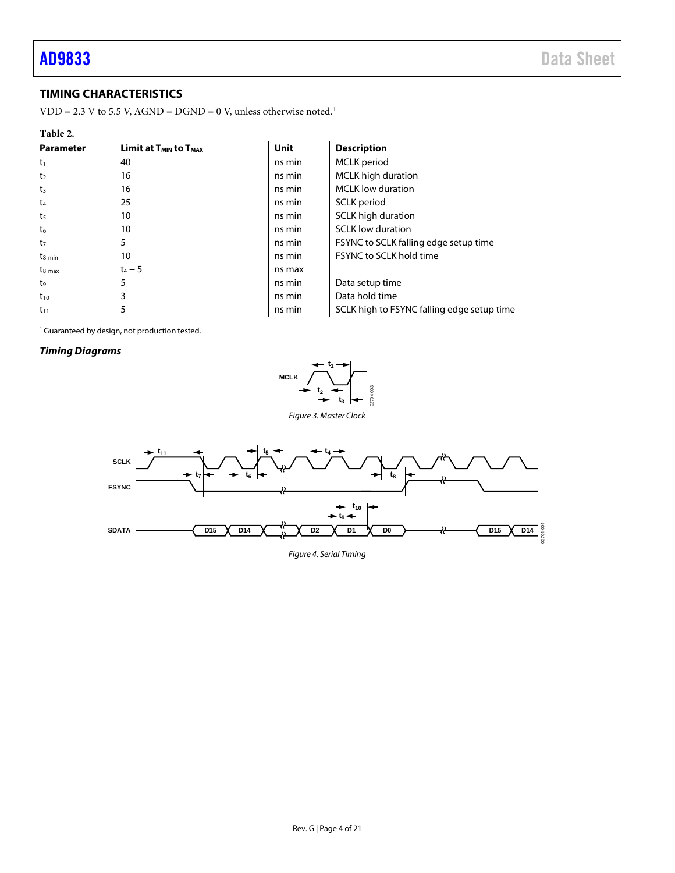# <span id="page-3-0"></span>**TIMING CHARACTERISTICS**

 $VDD = 2.3 V$  to 5.5 V,  $AGND = DGND = 0 V$ , unless otherwise noted.<sup>1</sup>

| Table 2.         |                                 |             |                                            |
|------------------|---------------------------------|-------------|--------------------------------------------|
| <b>Parameter</b> | Limit at $T_{MIN}$ to $T_{MAX}$ | <b>Unit</b> | <b>Description</b>                         |
| $t_1$            | 40                              | ns min      | MCLK period                                |
| t <sub>2</sub>   | 16                              | ns min      | <b>MCLK</b> high duration                  |
| t3               | 16                              | ns min      | <b>MCLK</b> low duration                   |
| t4               | 25                              | ns min      | SCLK period                                |
| t5               | 10                              | ns min      | SCLK high duration                         |
| t6               | 10                              | ns min      | <b>SCLK</b> low duration                   |
| tz               |                                 | ns min      | FSYNC to SCLK falling edge setup time      |
| $t_{8 min}$      | 10                              | ns min      | FSYNC to SCLK hold time                    |
| $t_{8,max}$      | $t_4 - 5$                       | ns max      |                                            |
| t,               |                                 | ns min      | Data setup time                            |
| $t_{10}$         |                                 | ns min      | Data hold time                             |
| $t_{11}$         | כ                               | ns min      | SCLK high to FSYNC falling edge setup time |

<sup>1</sup> Guaranteed by design, not production tested.

#### *Timing Diagrams*



<span id="page-3-1"></span>

*Figure 4. Serial Timing*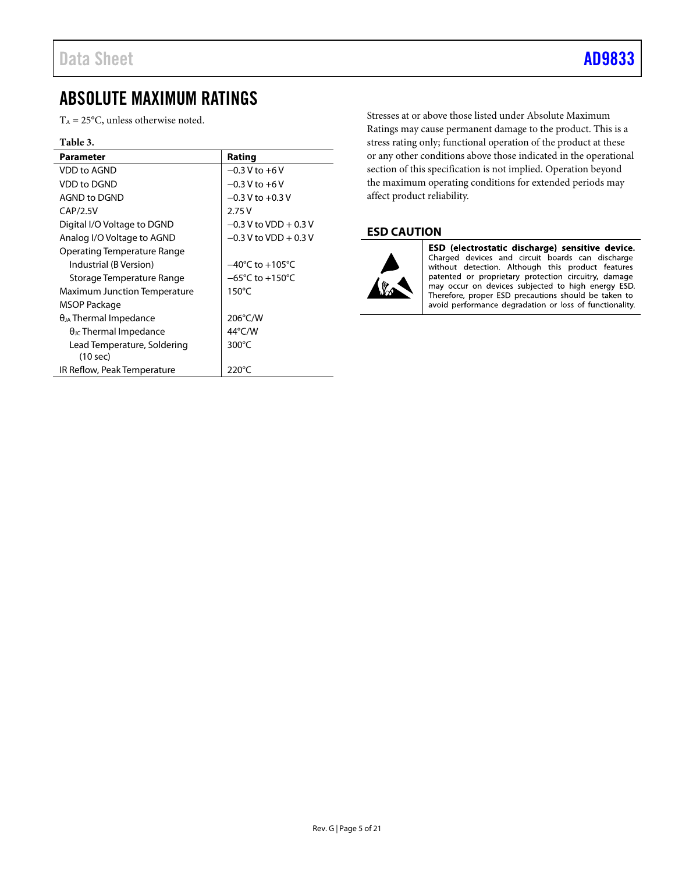# <span id="page-4-0"></span>ABSOLUTE MAXIMUM RATINGS

 $T_A = 25$ °C, unless otherwise noted.

#### **Table 3.**

| <b>Parameter</b>                                  | Rating                              |
|---------------------------------------------------|-------------------------------------|
| <b>VDD to AGND</b>                                | $-0.3$ V to $+6$ V                  |
| VDD to DGND                                       | $-0.3 V$ to $+6V$                   |
| AGND to DGND                                      | $-0.3$ V to $+0.3$ V                |
| CAP/2.5V                                          | 2.75V                               |
| Digital I/O Voltage to DGND                       | $-0.3$ V to VDD + 0.3 V             |
| Analog I/O Voltage to AGND                        | $-0.3$ V to VDD + 0.3 V             |
| Operating Temperature Range                       |                                     |
| Industrial (B Version)                            | $-40^{\circ}$ C to $+105^{\circ}$ C |
| Storage Temperature Range                         | $-65^{\circ}$ C to $+150^{\circ}$ C |
| Maximum Junction Temperature                      | $150^{\circ}$ C                     |
| MSOP Package                                      |                                     |
| $\theta_{JA}$ Thermal Impedance                   | 206°C/W                             |
| $\theta$ <sub>JC</sub> Thermal Impedance          | 44°C/W                              |
| Lead Temperature, Soldering<br>$(10 \text{ sec})$ | $300^{\circ}$ C                     |
| IR Reflow, Peak Temperature                       | $220^{\circ}$ C                     |

Stresses at or above those listed under Absolute Maximum Ratings may cause permanent damage to the product. This is a stress rating only; functional operation of the product at these or any other conditions above those indicated in the operational section of this specification is not implied. Operation beyond the maximum operating conditions for extended periods may affect product reliability.

### <span id="page-4-1"></span>**ESD CAUTION**



ESD (electrostatic discharge) sensitive device. Charged devices and circuit boards can discharge without detection. Although this product features patented or proprietary protection circuitry, damage may occur on devices subjected to high energy ESD. Therefore, proper ESD precautions should be taken to avoid performance degradation or loss of functionality.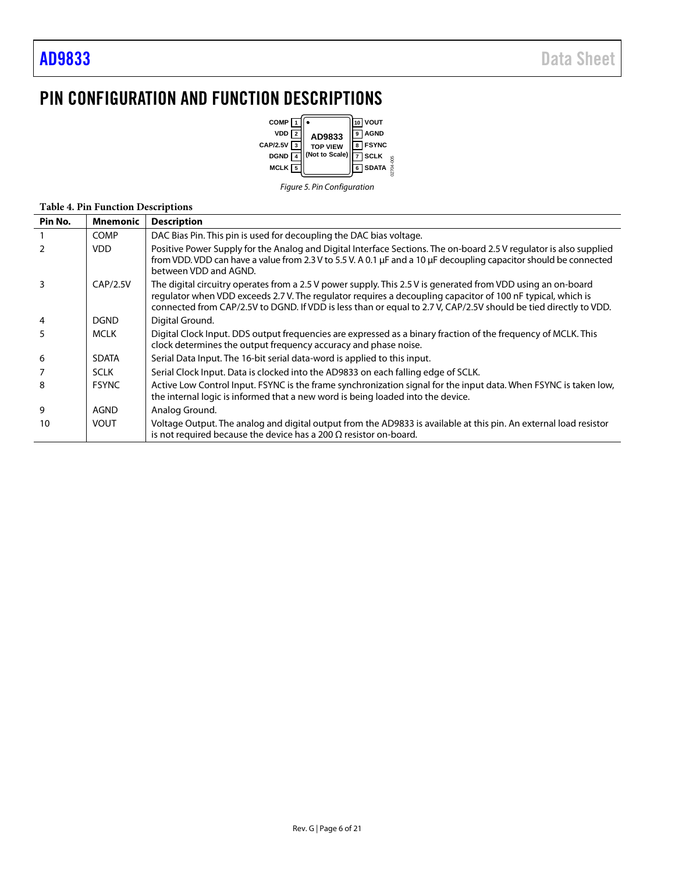# <span id="page-5-0"></span>PIN CONFIGURATION AND FUNCTION DESCRIPTIONS



*Figure 5. Pin Configuration*

### **Table 4. Pin Function Descriptions**

| Pin No.        | <b>Mnemonic</b> | <b>Description</b>                                                                                                                                                                                                                                                                                                                             |
|----------------|-----------------|------------------------------------------------------------------------------------------------------------------------------------------------------------------------------------------------------------------------------------------------------------------------------------------------------------------------------------------------|
|                | <b>COMP</b>     | DAC Bias Pin. This pin is used for decoupling the DAC bias voltage.                                                                                                                                                                                                                                                                            |
| 2              | <b>VDD</b>      | Positive Power Supply for the Analog and Digital Interface Sections. The on-board 2.5 V regulator is also supplied<br>from VDD. VDD can have a value from 2.3 V to 5.5 V. A 0.1 µF and a 10 µF decoupling capacitor should be connected<br>between VDD and AGND.                                                                               |
| 3              | CAP/2.5V        | The digital circuitry operates from a 2.5 V power supply. This 2.5 V is generated from VDD using an on-board<br>regulator when VDD exceeds 2.7 V. The regulator reguires a decoupling capacitor of 100 nF typical, which is<br>connected from CAP/2.5V to DGND. If VDD is less than or equal to 2.7V, CAP/2.5V should be tied directly to VDD. |
| $\overline{4}$ | <b>DGND</b>     | Digital Ground.                                                                                                                                                                                                                                                                                                                                |
| 5              | <b>MCLK</b>     | Digital Clock Input. DDS output frequencies are expressed as a binary fraction of the frequency of MCLK. This<br>clock determines the output frequency accuracy and phase noise.                                                                                                                                                               |
| 6              | <b>SDATA</b>    | Serial Data Input. The 16-bit serial data-word is applied to this input.                                                                                                                                                                                                                                                                       |
|                | <b>SCLK</b>     | Serial Clock Input. Data is clocked into the AD9833 on each falling edge of SCLK.                                                                                                                                                                                                                                                              |
| 8              | <b>FSYNC</b>    | Active Low Control Input. FSYNC is the frame synchronization signal for the input data. When FSYNC is taken low,<br>the internal logic is informed that a new word is being loaded into the device.                                                                                                                                            |
| 9              | <b>AGND</b>     | Analog Ground.                                                                                                                                                                                                                                                                                                                                 |
| 10             | VOUT            | Voltage Output. The analog and digital output from the AD9833 is available at this pin. An external load resistor<br>is not required because the device has a 200 $\Omega$ resistor on-board.                                                                                                                                                  |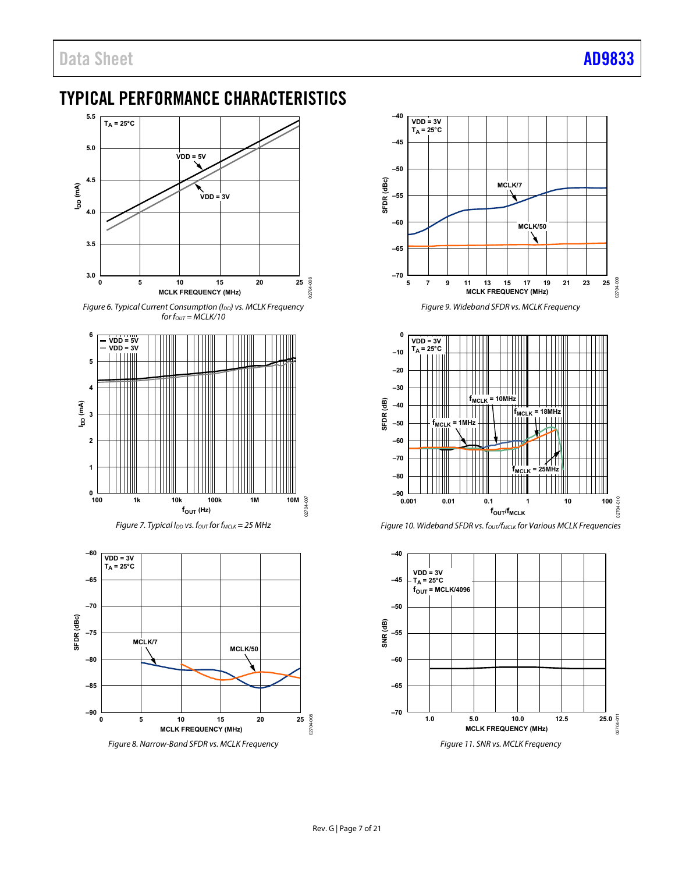# <span id="page-6-0"></span>TYPICAL PERFORMANCE CHARACTERISTICS



Figure 6. Typical Current Consumption ( $I_{DD}$ ) vs. MCLK Frequency for  $f_{OUT} = \overline{MCLK}/10$ 





<span id="page-6-1"></span>

Figure 8. Narrow-Band SFDR vs. MCLK Frequency







Figure 10. Wideband SFDR vs. fout/f<sub>MCLK</sub> for Various MCLK Frequencies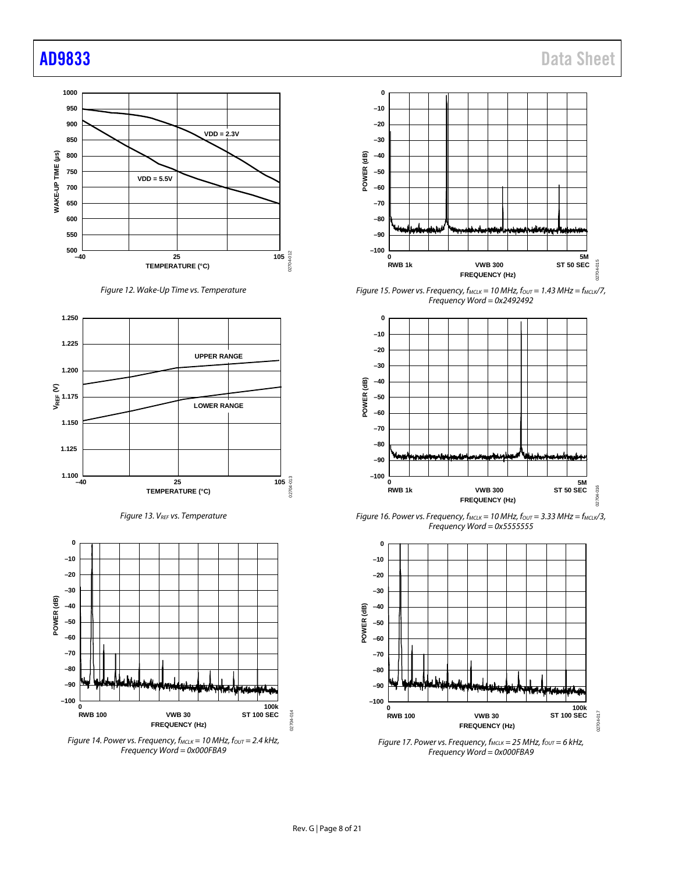

*Figure 12. Wake-Up Time vs. Temperature*



*Figure 13. VREF vs. Temperature*



*Figure 14. Power vs. Frequency, f<sub>MCLK</sub> = 10 MHz, f<sub>OUT</sub> = 2.4 kHz, Frequency Word = 0x000FBA9*



*Figure 15. Power vs. Frequency,*  $f_{MCLK} = 10$  *MHz,*  $f_{OUT} = 1.43$  *MHz =*  $f_{MCLK}/7$ *, Frequency Word = 0x2492492*



*Figure 16. Power vs. Frequency, fMCLK = 10 MHz, fOUT = 3.33 MHz = fMCLK/3, Frequency Word = 0x5555555*



*Figure 17. Power vs. Frequency, f<sub>MCLK</sub> = 25 MHz, f<sub>OUT</sub> = 6 kHz, Frequency Word = 0x000FBA9*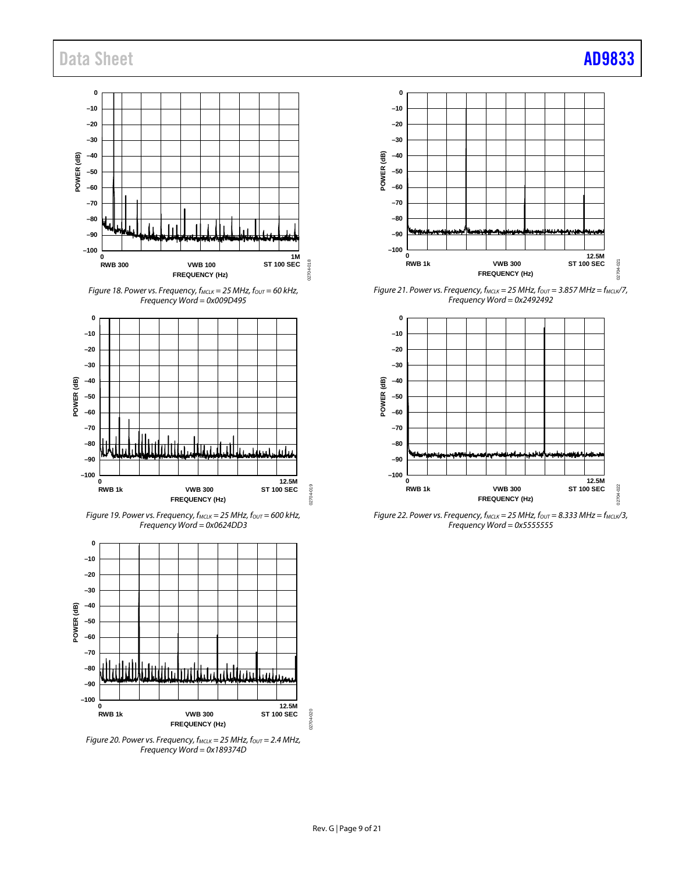# Data Sheet **[AD9833](https://www.analog.com/ad9833?doc=ad9833.pdf)**



*Figure 18. Power vs. Frequency, f<sub>MCLK</sub>* = 25 MHz,  $f_{OUT}$  = 60 kHz, *Frequency Word = 0x009D495*



*Figure 19. Power vs. Frequency, fMCLK = 25 MHz, fOUT = 600 kHz, Frequency Word = 0x0624DD3*



*Figure 20. Power vs. Frequency, f<sub>MCLK</sub>* = 25 MHz,  $f_{OUT}$  = 2.4 MHz, *Frequency Word = 0x189374D*



*Figure 21. Power vs. Frequency, fMCLK = 25 MHz, fOUT = 3.857 MHz = fMCLK/7, Frequency Word = 0x2492492*



*Figure 22. Power vs. Frequency, f<sub>MCLK</sub>* = 25 MHz,  $f_{OUT}$  = 8.333 MHz =  $f_{MCLK}/3$ , *Frequency Word = 0x5555555*

02704-020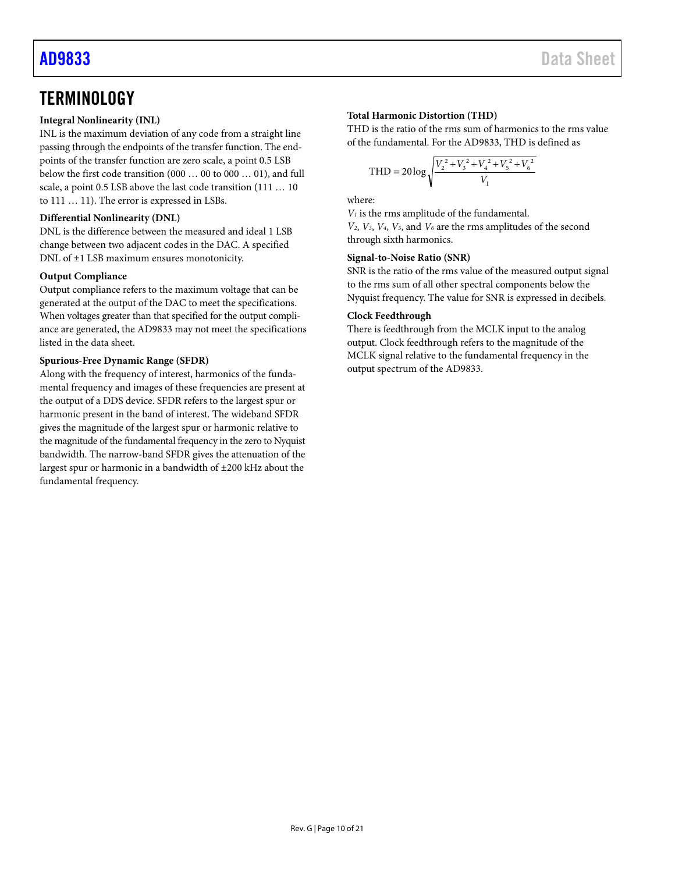# <span id="page-9-0"></span>**TERMINOLOGY**

### **Integral Nonlinearity (INL)**

INL is the maximum deviation of any code from a straight line passing through the endpoints of the transfer function. The endpoints of the transfer function are zero scale, a point 0.5 LSB below the first code transition (000 … 00 to 000 … 01), and full scale, a point 0.5 LSB above the last code transition (111 … 10 to 111 … 11). The error is expressed in LSBs.

### **Differential Nonlinearity (DNL)**

DNL is the difference between the measured and ideal 1 LSB change between two adjacent codes in the DAC. A specified DNL of ±1 LSB maximum ensures monotonicity.

### **Output Compliance**

Output compliance refers to the maximum voltage that can be generated at the output of the DAC to meet the specifications. When voltages greater than that specified for the output compliance are generated, the AD9833 may not meet the specifications listed in the data sheet.

### **Spurious-Free Dynamic Range (SFDR)**

Along with the frequency of interest, harmonics of the fundamental frequency and images of these frequencies are present at the output of a DDS device. SFDR refers to the largest spur or harmonic present in the band of interest. The wideband SFDR gives the magnitude of the largest spur or harmonic relative to the magnitude of the fundamental frequency in the zero to Nyquist bandwidth. The narrow-band SFDR gives the attenuation of the largest spur or harmonic in a bandwidth of ±200 kHz about the fundamental frequency.

### **Total Harmonic Distortion (THD)**

THD is the ratio of the rms sum of harmonics to the rms value of the fundamental. For the AD9833, THD is defined as

$$
\text{THD} = 20 \log \sqrt{\frac{V_2^2 + V_3^2 + V_4^2 + V_5^2 + V_6^2}{V_1}}
$$

where:

*V1* is the rms amplitude of the fundamental.

*V2*, *V3*, *V4*, *V5*, and *V6* are the rms amplitudes of the second through sixth harmonics.

### **Signal-to-Noise Ratio (SNR)**

SNR is the ratio of the rms value of the measured output signal to the rms sum of all other spectral components below the Nyquist frequency. The value for SNR is expressed in decibels.

### **Clock Feedthrough**

There is feedthrough from the MCLK input to the analog output. Clock feedthrough refers to the magnitude of the MCLK signal relative to the fundamental frequency in the output spectrum of the AD9833.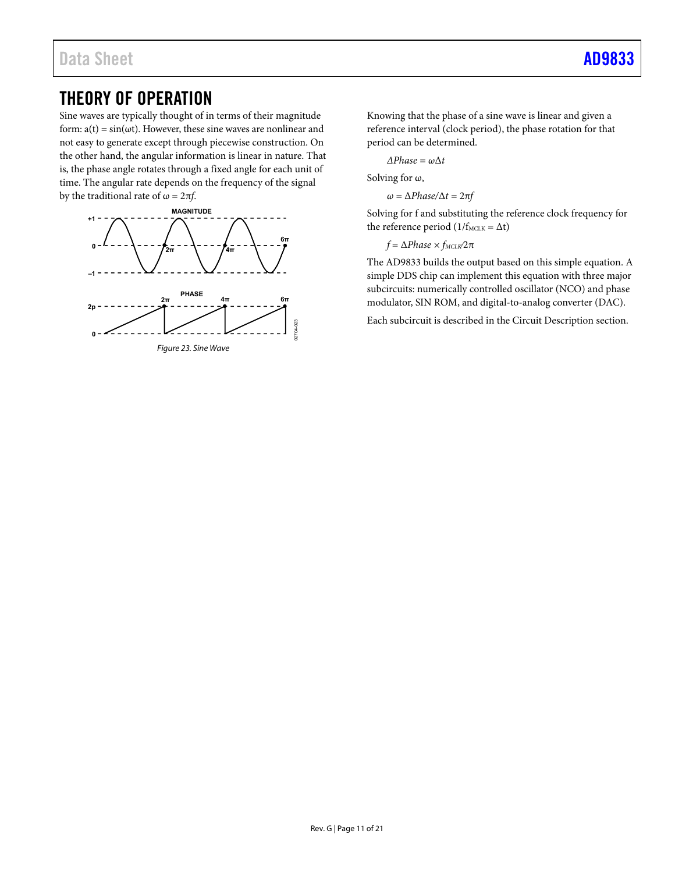# <span id="page-10-0"></span>THEORY OF OPERATION

Sine waves are typically thought of in terms of their magnitude form:  $a(t) = sin(\omega t)$ . However, these sine waves are nonlinear and not easy to generate except through piecewise construction. On the other hand, the angular information is linear in nature. That is, the phase angle rotates through a fixed angle for each unit of time. The angular rate depends on the frequency of the signal by the traditional rate of  $\omega = 2\pi f$ .



Knowing that the phase of a sine wave is linear and given a reference interval (clock period), the phase rotation for that period can be determined.

*ΔPhase = ω*Δ*t* 

Solving for  $\omega$ ,

*ω =* Δ*Phase/*Δ*t =* 2π*f* 

Solving for f and substituting the reference clock frequency for the reference period ( $1/f_{MCLK} = \Delta t$ )

*f* =  $ΔPhase \times f_{MCLK}/2π$ 

The AD9833 builds the output based on this simple equation. A simple DDS chip can implement this equation with three major subcircuits: numerically controlled oscillator (NCO) and phase modulator, SIN ROM, and digital-to-analog converter (DAC).

Each subcircuit is described in the [Circuit Description s](#page-11-0)ection.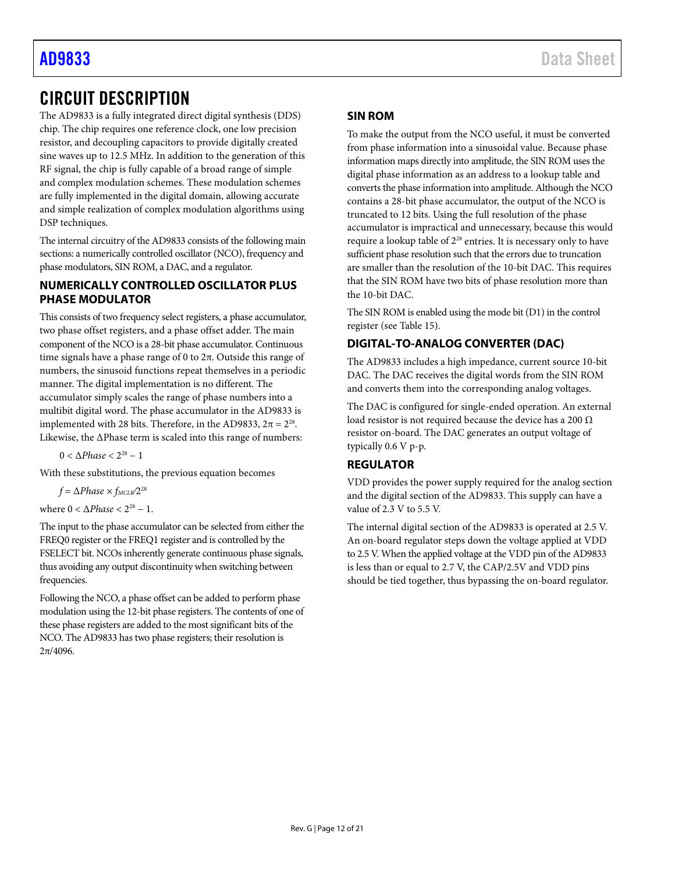# <span id="page-11-0"></span>CIRCUIT DESCRIPTION

The AD9833 is a fully integrated direct digital synthesis (DDS) chip. The chip requires one reference clock, one low precision resistor, and decoupling capacitors to provide digitally created sine waves up to 12.5 MHz. In addition to the generation of this RF signal, the chip is fully capable of a broad range of simple and complex modulation schemes. These modulation schemes are fully implemented in the digital domain, allowing accurate and simple realization of complex modulation algorithms using DSP techniques.

The internal circuitry of the AD9833 consists of the following main sections: a numerically controlled oscillator (NCO), frequency and phase modulators, SIN ROM, a DAC, and a regulator.

## <span id="page-11-1"></span>**NUMERICALLY CONTROLLED OSCILLATOR PLUS PHASE MODULATOR**

This consists of two frequency select registers, a phase accumulator, two phase offset registers, and a phase offset adder. The main component of the NCO is a 28-bit phase accumulator. Continuous time signals have a phase range of 0 to 2π. Outside this range of numbers, the sinusoid functions repeat themselves in a periodic manner. The digital implementation is no different. The accumulator simply scales the range of phase numbers into a multibit digital word. The phase accumulator in the AD9833 is implemented with 28 bits. Therefore, in the AD9833,  $2π = 2<sup>28</sup>$ . Likewise, the ΔPhase term is scaled into this range of numbers:

 $0 < ΔPhase < 2<sup>28</sup> − 1$ 

With these substitutions, the previous equation becomes

 $f = \Delta Phase \times f_{MCLW}/2^{28}$ 

where  $0 < \Delta Phase < 2^{28} - 1$ .

The input to the phase accumulator can be selected from either the FREQ0 register or the FREQ1 register and is controlled by the FSELECT bit. NCOs inherently generate continuous phase signals, thus avoiding any output discontinuity when switching between frequencies.

Following the NCO, a phase offset can be added to perform phase modulation using the 12-bit phase registers. The contents of one of these phase registers are added to the most significant bits of the NCO. The AD9833 has two phase registers; their resolution is  $2π/4096$ .

### <span id="page-11-2"></span>**SIN ROM**

To make the output from the NCO useful, it must be converted from phase information into a sinusoidal value. Because phase information maps directly into amplitude, the SIN ROM uses the digital phase information as an address to a lookup table and converts the phase information into amplitude. Although the NCO contains a 28-bit phase accumulator, the output of the NCO is truncated to 12 bits. Using the full resolution of the phase accumulator is impractical and unnecessary, because this would require a lookup table of  $2^{28}$  entries. It is necessary only to have sufficient phase resolution such that the errors due to truncation are smaller than the resolution of the 10-bit DAC. This requires that the SIN ROM have two bits of phase resolution more than the 10-bit DAC.

The SIN ROM is enabled using the mode bit (D1) in the control register (se[e Table 15\)](#page-15-3).

# <span id="page-11-3"></span>**DIGITAL-TO-ANALOG CONVERTER (DAC)**

The AD9833 includes a high impedance, current source 10-bit DAC. The DAC receives the digital words from the SIN ROM and converts them into the corresponding analog voltages.

The DAC is configured for single-ended operation. An external load resistor is not required because the device has a 200  $\Omega$ resistor on-board. The DAC generates an output voltage of typically 0.6 V p-p.

# <span id="page-11-4"></span>**REGULATOR**

VDD provides the power supply required for the analog section and the digital section of the AD9833. This supply can have a value of 2.3 V to 5.5 V.

The internal digital section of the AD9833 is operated at 2.5 V. An on-board regulator steps down the voltage applied at VDD to 2.5 V. When the applied voltage at the VDD pin of the AD9833 is less than or equal to 2.7 V, the CAP/2.5V and VDD pins should be tied together, thus bypassing the on-board regulator.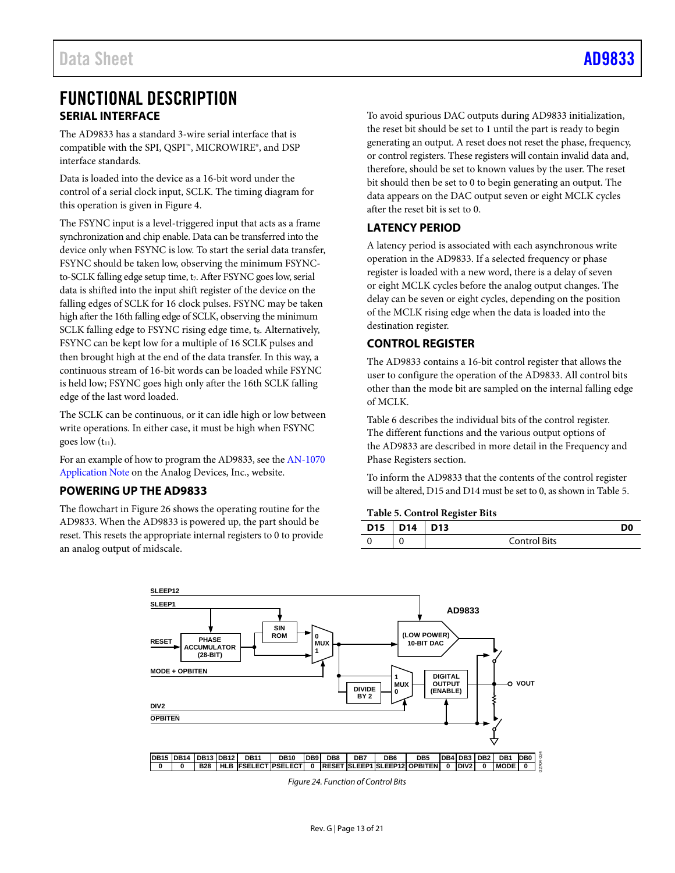# <span id="page-12-0"></span>FUNCTIONAL DESCRIPTION **SERIAL INTERFACE**

<span id="page-12-1"></span>The AD9833 has a standard 3-wire serial interface that is compatible with the SPI, QSPI™, MICROWIRE®, and DSP interface standards.

Data is loaded into the device as a 16-bit word under the control of a serial clock input, SCLK. The timing diagram for this operation is given in [Figure 4.](#page-3-1)

The FSYNC input is a level-triggered input that acts as a frame synchronization and chip enable. Data can be transferred into the device only when FSYNC is low. To start the serial data transfer, FSYNC should be taken low, observing the minimum FSYNCto-SCLK falling edge setup time, t<sub>7</sub>. After FSYNC goes low, serial data is shifted into the input shift register of the device on the falling edges of SCLK for 16 clock pulses. FSYNC may be taken high after the 16th falling edge of SCLK, observing the minimum SCLK falling edge to FSYNC rising edge time, ts. Alternatively, FSYNC can be kept low for a multiple of 16 SCLK pulses and then brought high at the end of the data transfer. In this way, a continuous stream of 16-bit words can be loaded while FSYNC is held low; FSYNC goes high only after the 16th SCLK falling edge of the last word loaded.

The SCLK can be continuous, or it can idle high or low between write operations. In either case, it must be high when FSYNC goes low  $(t_{11})$ .

For an example of how to program the AD9833, see th[e AN-1070](https://www.analog.com/media/en/technical-documentation/application-notes/AN-1070.pdf?doc=AD9833.pdf)  [Application Note](https://www.analog.com/media/en/technical-documentation/application-notes/AN-1070.pdf) on the Analog Devices, Inc., website.

# <span id="page-12-2"></span>**POWERING UP THE AD9833**

The flowchart i[n Figure 26](#page-17-0) shows the operating routine for the AD9833. When the AD9833 is powered up, the part should be reset. This resets the appropriate internal registers to 0 to provide an analog output of midscale.

To avoid spurious DAC outputs during AD9833 initialization, the reset bit should be set to 1 until the part is ready to begin generating an output. A reset does not reset the phase, frequency, or control registers. These registers will contain invalid data and, therefore, should be set to known values by the user. The reset bit should then be set to 0 to begin generating an output. The data appears on the DAC output seven or eight MCLK cycles after the reset bit is set to 0.

# <span id="page-12-3"></span>**LATENCY PERIOD**

A latency period is associated with each asynchronous write operation in the AD9833. If a selected frequency or phase register is loaded with a new word, there is a delay of seven or eight MCLK cycles before the analog output changes. The delay can be seven or eight cycles, depending on the position of the MCLK rising edge when the data is loaded into the destination register.

# <span id="page-12-4"></span>**CONTROL REGISTER**

The AD9833 contains a 16-bit control register that allows the user to configure the operation of the AD9833. All control bits other than the mode bit are sampled on the internal falling edge of MCLK.

[Table 6](#page-13-0) describes the individual bits of the control register. The different functions and the various output options of the AD9833 are described in more detail in the [Frequency and](#page-14-0)  [Phase Registers](#page-14-0) section.

To inform the AD9833 that the contents of the control register will be altered, D15 and D14 must be set to 0, as shown i[n Table 5.](#page-12-5)

### <span id="page-12-5"></span>**Table 5. Control Register Bits**

| D <sub>15</sub> | D <sub>14</sub> | D <sub>13</sub> |  |
|-----------------|-----------------|-----------------|--|
|                 |                 | Control Bits    |  |



*Figure 24. Function of Control Bits*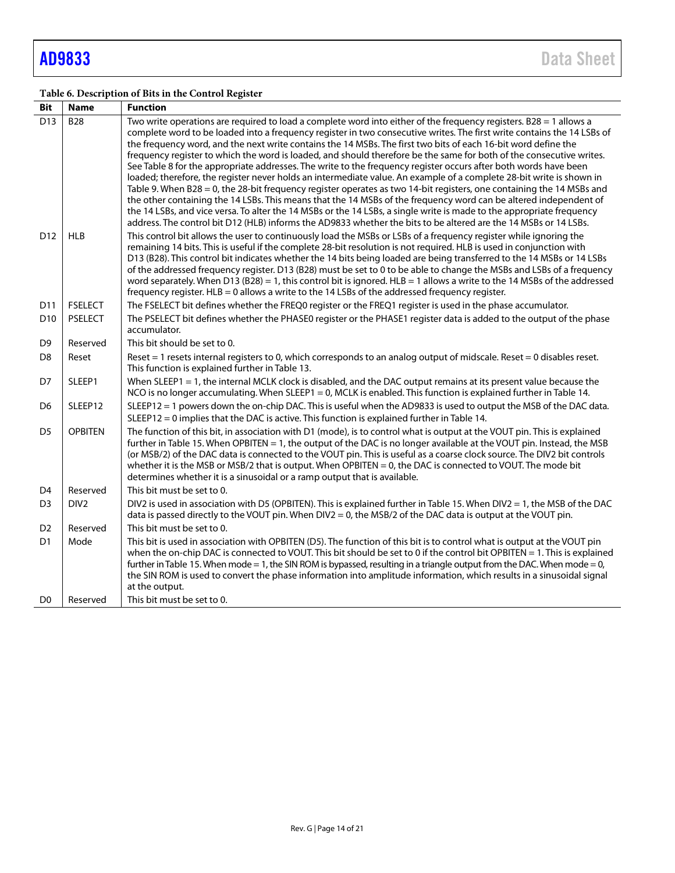# <span id="page-13-0"></span>**Table 6. Description of Bits in the Control Register**

| Bit             | <b>Name</b>      | <b>Function</b>                                                                                                                                                                                                                                                                                                                                                                                                                                                                                                                                                                                                                                                                                                                                                                                                                                                                                                                                                                                                                                                                                                                                                                                                                |
|-----------------|------------------|--------------------------------------------------------------------------------------------------------------------------------------------------------------------------------------------------------------------------------------------------------------------------------------------------------------------------------------------------------------------------------------------------------------------------------------------------------------------------------------------------------------------------------------------------------------------------------------------------------------------------------------------------------------------------------------------------------------------------------------------------------------------------------------------------------------------------------------------------------------------------------------------------------------------------------------------------------------------------------------------------------------------------------------------------------------------------------------------------------------------------------------------------------------------------------------------------------------------------------|
| D <sub>13</sub> | <b>B28</b>       | Two write operations are required to load a complete word into either of the frequency registers. B28 = 1 allows a<br>complete word to be loaded into a frequency register in two consecutive writes. The first write contains the 14 LSBs of<br>the frequency word, and the next write contains the 14 MSBs. The first two bits of each 16-bit word define the<br>frequency register to which the word is loaded, and should therefore be the same for both of the consecutive writes.<br>See Table 8 for the appropriate addresses. The write to the frequency register occurs after both words have been<br>loaded; therefore, the register never holds an intermediate value. An example of a complete 28-bit write is shown in<br>Table 9. When B28 = 0, the 28-bit frequency register operates as two 14-bit registers, one containing the 14 MSBs and<br>the other containing the 14 LSBs. This means that the 14 MSBs of the frequency word can be altered independent of<br>the 14 LSBs, and vice versa. To alter the 14 MSBs or the 14 LSBs, a single write is made to the appropriate frequency<br>address. The control bit D12 (HLB) informs the AD9833 whether the bits to be altered are the 14 MSBs or 14 LSBs. |
| D <sub>12</sub> | <b>HLB</b>       | This control bit allows the user to continuously load the MSBs or LSBs of a frequency register while ignoring the<br>remaining 14 bits. This is useful if the complete 28-bit resolution is not required. HLB is used in conjunction with<br>D13 (B28). This control bit indicates whether the 14 bits being loaded are being transferred to the 14 MSBs or 14 LSBs<br>of the addressed frequency register. D13 (B28) must be set to 0 to be able to change the MSBs and LSBs of a frequency<br>word separately. When D13 (B28) = 1, this control bit is ignored. HLB = 1 allows a write to the 14 MSBs of the addressed<br>frequency register. HLB = 0 allows a write to the 14 LSBs of the addressed frequency register.                                                                                                                                                                                                                                                                                                                                                                                                                                                                                                     |
| D <sub>11</sub> | <b>FSELECT</b>   | The FSELECT bit defines whether the FREQ0 register or the FREQ1 register is used in the phase accumulator.                                                                                                                                                                                                                                                                                                                                                                                                                                                                                                                                                                                                                                                                                                                                                                                                                                                                                                                                                                                                                                                                                                                     |
| D <sub>10</sub> | <b>PSELECT</b>   | The PSELECT bit defines whether the PHASE0 register or the PHASE1 register data is added to the output of the phase<br>accumulator.                                                                                                                                                                                                                                                                                                                                                                                                                                                                                                                                                                                                                                                                                                                                                                                                                                                                                                                                                                                                                                                                                            |
| D <sub>9</sub>  | Reserved         | This bit should be set to 0.                                                                                                                                                                                                                                                                                                                                                                                                                                                                                                                                                                                                                                                                                                                                                                                                                                                                                                                                                                                                                                                                                                                                                                                                   |
| D <sub>8</sub>  | Reset            | Reset = 1 resets internal registers to 0, which corresponds to an analog output of midscale. Reset = 0 disables reset.<br>This function is explained further in Table 13.                                                                                                                                                                                                                                                                                                                                                                                                                                                                                                                                                                                                                                                                                                                                                                                                                                                                                                                                                                                                                                                      |
| D7              | SLEEP1           | When SLEEP1 = 1, the internal MCLK clock is disabled, and the DAC output remains at its present value because the<br>NCO is no longer accumulating. When SLEEP1 = 0, MCLK is enabled. This function is explained further in Table 14.                                                                                                                                                                                                                                                                                                                                                                                                                                                                                                                                                                                                                                                                                                                                                                                                                                                                                                                                                                                          |
| D <sub>6</sub>  | SLEEP12          | SLEEP12 = 1 powers down the on-chip DAC. This is useful when the AD9833 is used to output the MSB of the DAC data.                                                                                                                                                                                                                                                                                                                                                                                                                                                                                                                                                                                                                                                                                                                                                                                                                                                                                                                                                                                                                                                                                                             |
|                 |                  | $SLEEP12 = 0$ implies that the DAC is active. This function is explained further in Table 14.                                                                                                                                                                                                                                                                                                                                                                                                                                                                                                                                                                                                                                                                                                                                                                                                                                                                                                                                                                                                                                                                                                                                  |
| D <sub>5</sub>  | <b>OPBITEN</b>   | The function of this bit, in association with D1 (mode), is to control what is output at the VOUT pin. This is explained<br>further in Table 15. When OPBITEN = 1, the output of the DAC is no longer available at the VOUT pin. Instead, the MSB<br>(or MSB/2) of the DAC data is connected to the VOUT pin. This is useful as a coarse clock source. The DIV2 bit controls<br>whether it is the MSB or MSB/2 that is output. When OPBITEN = 0, the DAC is connected to VOUT. The mode bit<br>determines whether it is a sinusoidal or a ramp output that is available.                                                                                                                                                                                                                                                                                                                                                                                                                                                                                                                                                                                                                                                       |
| D <sub>4</sub>  | Reserved         | This bit must be set to 0.                                                                                                                                                                                                                                                                                                                                                                                                                                                                                                                                                                                                                                                                                                                                                                                                                                                                                                                                                                                                                                                                                                                                                                                                     |
| D <sub>3</sub>  | DIV <sub>2</sub> | DIV2 is used in association with D5 (OPBITEN). This is explained further in Table 15. When DIV2 = 1, the MSB of the DAC<br>data is passed directly to the VOUT pin. When DIV2 = 0, the MSB/2 of the DAC data is output at the VOUT pin.                                                                                                                                                                                                                                                                                                                                                                                                                                                                                                                                                                                                                                                                                                                                                                                                                                                                                                                                                                                        |
| D <sub>2</sub>  | Reserved         | This bit must be set to 0.                                                                                                                                                                                                                                                                                                                                                                                                                                                                                                                                                                                                                                                                                                                                                                                                                                                                                                                                                                                                                                                                                                                                                                                                     |
| D <sub>1</sub>  | Mode             | This bit is used in association with OPBITEN (D5). The function of this bit is to control what is output at the VOUT pin<br>when the on-chip DAC is connected to VOUT. This bit should be set to 0 if the control bit OPBITEN = 1. This is explained<br>further in Table 15. When mode = 1, the SIN ROM is bypassed, resulting in a triangle output from the DAC. When mode = 0,<br>the SIN ROM is used to convert the phase information into amplitude information, which results in a sinusoidal signal<br>at the output.                                                                                                                                                                                                                                                                                                                                                                                                                                                                                                                                                                                                                                                                                                    |
| D <sub>0</sub>  | Reserved         | This bit must be set to 0.                                                                                                                                                                                                                                                                                                                                                                                                                                                                                                                                                                                                                                                                                                                                                                                                                                                                                                                                                                                                                                                                                                                                                                                                     |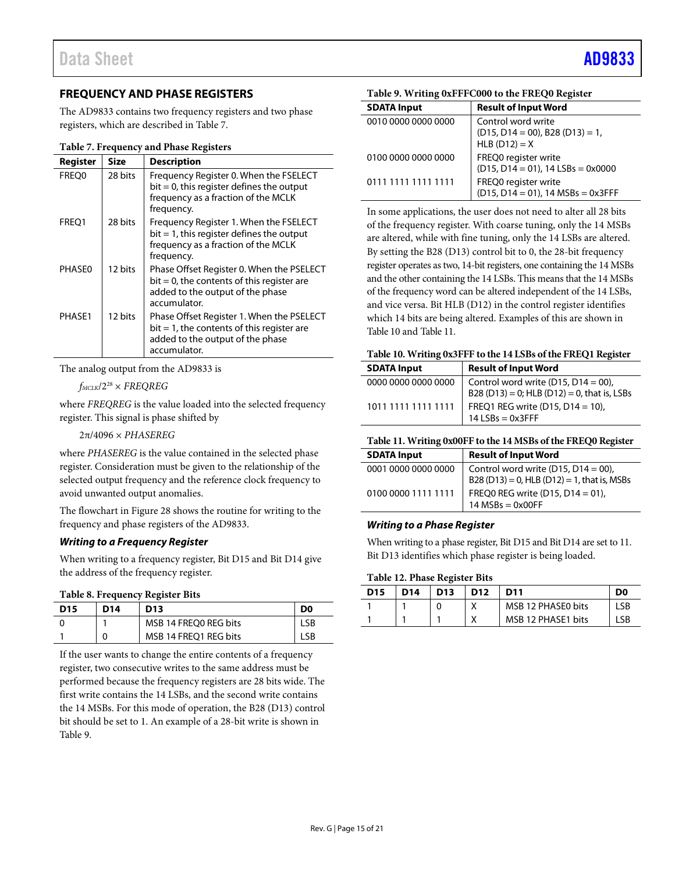# <span id="page-14-0"></span>**FREQUENCY AND PHASE REGISTERS**

The AD9833 contains two frequency registers and two phase registers, which are described in [Table 7.](#page-14-3)

<span id="page-14-3"></span>**Table 7. Frequency and Phase Registers**

| Register | Size    | <b>Description</b>                                                                                                                             |
|----------|---------|------------------------------------------------------------------------------------------------------------------------------------------------|
| FREO0    | 28 bits | Frequency Register 0. When the FSELECT<br>$bit = 0$ , this register defines the output<br>frequency as a fraction of the MCLK<br>frequency.    |
| FREQ1    | 28 bits | Frequency Register 1. When the FSELECT<br>$bit = 1$ , this register defines the output<br>frequency as a fraction of the MCLK<br>frequency.    |
| PHASE0   | 12 bits | Phase Offset Register 0. When the PSELECT<br>$bit = 0$ , the contents of this register are<br>added to the output of the phase<br>accumulator. |
| PHASE1   | 12 bits | Phase Offset Register 1. When the PSELECT<br>$bit = 1$ , the contents of this register are<br>added to the output of the phase<br>accumulator. |

The analog output from the AD9833 is

 $f_{MCLK}/2^{28} \times FREQREG$ 

where *FREQREG* is the value loaded into the selected frequency register. This signal is phase shifted by

2π/4096 × *PHASEREG*

where *PHASEREG* is the value contained in the selected phase register. Consideration must be given to the relationship of the selected output frequency and the reference clock frequency to avoid unwanted output anomalies.

The flowchart i[n Figure 28](#page-18-0) shows the routine for writing to the frequency and phase registers of the AD9833.

### *Writing to a Frequency Register*

When writing to a frequency register, Bit D15 and Bit D14 give the address of the frequency register.

#### <span id="page-14-1"></span>**Table 8. Frequency Register Bits**

|                 |     | ີ                     |                |
|-----------------|-----|-----------------------|----------------|
| D <sub>15</sub> | D14 | D <sub>13</sub>       | D <sub>0</sub> |
|                 |     | MSB 14 FREQ0 REG bits | ∟SB.           |
|                 | 0   | MSB 14 FREQ1 REG bits | _SB            |

If the user wants to change the entire contents of a frequency register, two consecutive writes to the same address must be performed because the frequency registers are 28 bits wide. The first write contains the 14 LSBs, and the second write contains the 14 MSBs. For this mode of operation, the B28 (D13) control bit should be set to 1. An example of a 28-bit write is shown in [Table 9.](#page-14-2)

<span id="page-14-2"></span>

|  |  | Table 9. Writing 0xFFFC000 to the FREQ0 Register |  |  |  |
|--|--|--------------------------------------------------|--|--|--|
|--|--|--------------------------------------------------|--|--|--|

| <b>SDATA Input</b>  | <b>Result of Input Word</b>                                                    |
|---------------------|--------------------------------------------------------------------------------|
| 0010 0000 0000 0000 | Control word write<br>$(D15, D14 = 00)$ , B28 $(D13) = 1$ ,<br>$HLB$ (D12) = X |
| 0100 0000 0000 0000 | FREQ0 register write<br>$(D15, D14 = 01)$ , 14 LSBs = 0x0000                   |
| 0111 1111 1111 1111 | FREQ0 register write<br>$(D15, D14 = 01)$ , 14 MSBs = 0x3FFF                   |

In some applications, the user does not need to alter all 28 bits of the frequency register. With coarse tuning, only the 14 MSBs are altered, while with fine tuning, only the 14 LSBs are altered. By setting the B28 (D13) control bit to 0, the 28-bit frequency register operates as two, 14-bit registers, one containing the 14 MSBs and the other containing the 14 LSBs. This means that the 14 MSBs of the frequency word can be altered independent of the 14 LSBs, and vice versa. Bit HLB (D12) in the control register identifies which 14 bits are being altered. Examples of this are shown in [Table 10](#page-14-4) an[d Table 11.](#page-14-5)

#### <span id="page-14-4"></span>**Table 10. Writing 0x3FFF to the 14 LSBs of the FREQ1 Register**

| <b>SDATA Input</b>  | <b>Result of Input Word</b>                                                        |
|---------------------|------------------------------------------------------------------------------------|
| 0000 0000 0000 0000 | Control word write (D15, D14 = 00),<br>B28 (D13) = 0; HLB (D12) = 0, that is, LSBs |
| 1011 1111 1111 1111 | FREQ1 REG write (D15, D14 = 10),<br>$14$ LSBs = 0x3FFF                             |

<span id="page-14-5"></span>

| Table 11. Writing 0x00FF to the 14 MSBs of the FREQ0 Register |  |
|---------------------------------------------------------------|--|
|---------------------------------------------------------------|--|

| ີ                   |                                                                                    |
|---------------------|------------------------------------------------------------------------------------|
| <b>SDATA Input</b>  | <b>Result of Input Word</b>                                                        |
| 0001 0000 0000 0000 | Control word write (D15, D14 = 00),<br>B28 (D13) = 0, HLB (D12) = 1, that is, MSBs |
| 0100 0000 1111 1111 | FREO0 REG write $(D15, D14 = 01)$ .<br>$14$ MSBs = 0x00FF                          |

### *Writing to a Phase Register*

When writing to a phase register, Bit D15 and Bit D14 are set to 11. Bit D13 identifies which phase register is being loaded.

#### **Table 12. Phase Register Bits**

| <b>D15</b> | D <sub>14</sub> | D <sub>13</sub> | D <sub>12</sub> | D11                | D <sub>0</sub> |
|------------|-----------------|-----------------|-----------------|--------------------|----------------|
|            |                 |                 |                 | MSB 12 PHASE0 bits | LSB            |
|            |                 |                 |                 | MSB 12 PHASE1 bits | -SB            |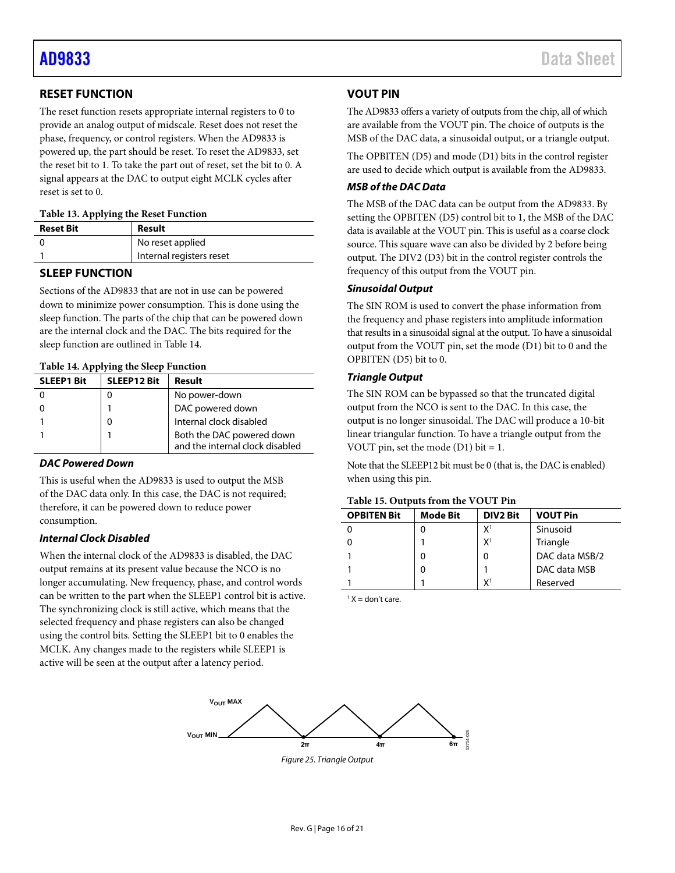# <span id="page-15-0"></span>**RESET FUNCTION**

The reset function resets appropriate internal registers to 0 to provide an analog output of midscale. Reset does not reset the phase, frequency, or control registers. When the AD9833 is powered up, the part should be reset. To reset the AD9833, set the reset bit to 1. To take the part out of reset, set the bit to 0. A signal appears at the DAC to output eight MCLK cycles after reset is set to 0.

#### <span id="page-15-4"></span>**Table 13. Applying the Reset Function**

| <b>Reset Bit</b> | Result                   |
|------------------|--------------------------|
|                  | No reset applied         |
|                  | Internal registers reset |

### <span id="page-15-1"></span>**SLEEP FUNCTION**

Sections of the AD9833 that are not in use can be powered down to minimize power consumption. This is done using the sleep function. The parts of the chip that can be powered down are the internal clock and the DAC. The bits required for the sleep function are outlined i[n Table 14.](#page-15-5)

#### <span id="page-15-5"></span>**Table 14. Applying the Sleep Function**

| <b>SLEEP1 Bit</b> | <b>SLEEP12 Bit</b> | Result                                                       |  |  |
|-------------------|--------------------|--------------------------------------------------------------|--|--|
|                   |                    | No power-down                                                |  |  |
|                   |                    | DAC powered down                                             |  |  |
|                   |                    | Internal clock disabled                                      |  |  |
|                   |                    | Both the DAC powered down<br>and the internal clock disabled |  |  |

### *DAC Powered Down*

This is useful when the AD9833 is used to output the MSB of the DAC data only. In this case, the DAC is not required; therefore, it can be powered down to reduce power consumption.

### *Internal Clock Disabled*

When the internal clock of the AD9833 is disabled, the DAC output remains at its present value because the NCO is no longer accumulating. New frequency, phase, and control words can be written to the part when the SLEEP1 control bit is active. The synchronizing clock is still active, which means that the selected frequency and phase registers can also be changed using the control bits. Setting the SLEEP1 bit to 0 enables the MCLK. Any changes made to the registers while SLEEP1 is active will be seen at the output after a latency period.

### <span id="page-15-2"></span>**VOUT PIN**

The AD9833 offers a variety of outputs from the chip, all of which are available from the VOUT pin. The choice of outputs is the MSB of the DAC data, a sinusoidal output, or a triangle output.

The OPBITEN (D5) and mode (D1) bits in the control register are used to decide which output is available from the AD9833.

### *MSB of the DAC Data*

The MSB of the DAC data can be output from the AD9833. By setting the OPBITEN (D5) control bit to 1, the MSB of the DAC data is available at the VOUT pin. This is useful as a coarse clock source. This square wave can also be divided by 2 before being output. The DIV2 (D3) bit in the control register controls the frequency of this output from the VOUT pin.

#### *Sinusoidal Output*

The SIN ROM is used to convert the phase information from the frequency and phase registers into amplitude information that results in a sinusoidal signal at the output. To have a sinusoidal output from the VOUT pin, set the mode (D1) bit to 0 and the OPBITEN (D5) bit to 0.

#### *Triangle Output*

The SIN ROM can be bypassed so that the truncated digital output from the NCO is sent to the DAC. In this case, the output is no longer sinusoidal. The DAC will produce a 10-bit linear triangular function. To have a triangle output from the VOUT pin, set the mode  $(D1)$  bit = 1.

Note that the SLEEP12 bit must be 0 (that is, the DAC is enabled) when using this pin.

#### <span id="page-15-3"></span>**Table 15. Outputs from the VOUT Pin**

| <b>OPBITEN Bit</b> | <b>Mode Bit</b> | <b>DIV2 Bit</b> | <b>VOUT Pin</b> |  |
|--------------------|-----------------|-----------------|-----------------|--|
|                    |                 | $X^1$           | Sinusoid        |  |
|                    |                 | X <sup>1</sup>  | Triangle        |  |
|                    |                 | 0               | DAC data MSB/2  |  |
|                    |                 |                 | DAC data MSB    |  |
|                    |                 | X١              | Reserved        |  |

 $1 X =$ don't care.

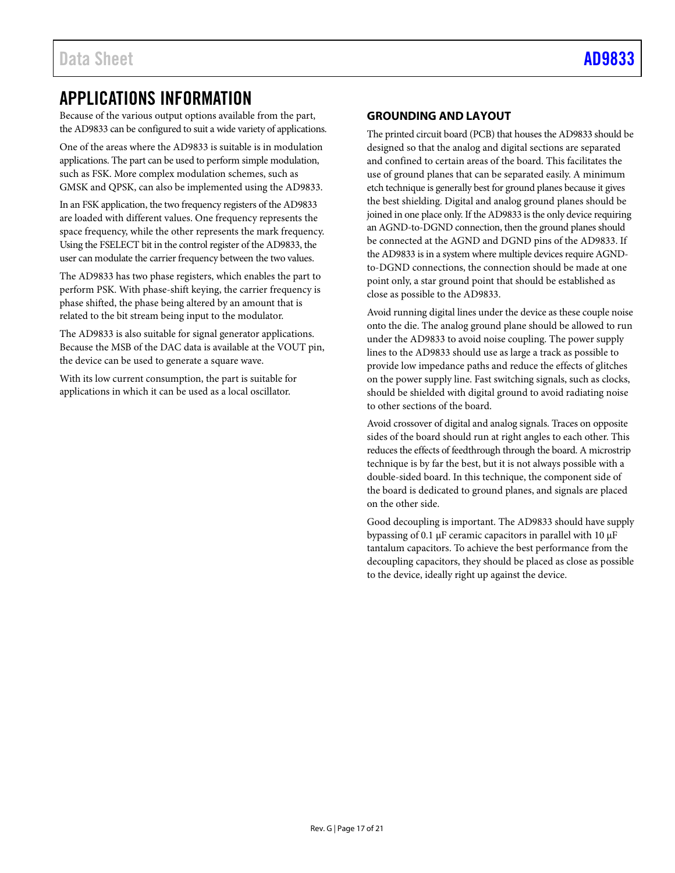# <span id="page-16-0"></span>APPLICATIONS INFORMATION

Because of the various output options available from the part, the AD9833 can be configured to suit a wide variety of applications.

One of the areas where the AD9833 is suitable is in modulation applications. The part can be used to perform simple modulation, such as FSK. More complex modulation schemes, such as GMSK and QPSK, can also be implemented using the AD9833.

In an FSK application, the two frequency registers of the AD9833 are loaded with different values. One frequency represents the space frequency, while the other represents the mark frequency. Using the FSELECT bit in the control register of the AD9833, the user can modulate the carrier frequency between the two values.

The AD9833 has two phase registers, which enables the part to perform PSK. With phase-shift keying, the carrier frequency is phase shifted, the phase being altered by an amount that is related to the bit stream being input to the modulator.

The AD9833 is also suitable for signal generator applications. Because the MSB of the DAC data is available at the VOUT pin, the device can be used to generate a square wave.

With its low current consumption, the part is suitable for applications in which it can be used as a local oscillator.

## <span id="page-16-1"></span>**GROUNDING AND LAYOUT**

The printed circuit board (PCB) that houses the AD9833 should be designed so that the analog and digital sections are separated and confined to certain areas of the board. This facilitates the use of ground planes that can be separated easily. A minimum etch technique is generally best for ground planes because it gives the best shielding. Digital and analog ground planes should be joined in one place only. If the AD9833 is the only device requiring an AGND-to-DGND connection, then the ground planes should be connected at the AGND and DGND pins of the AD9833. If the AD9833 is in a system where multiple devices require AGNDto-DGND connections, the connection should be made at one point only, a star ground point that should be established as close as possible to the AD9833.

Avoid running digital lines under the device as these couple noise onto the die. The analog ground plane should be allowed to run under the AD9833 to avoid noise coupling. The power supply lines to the AD9833 should use as large a track as possible to provide low impedance paths and reduce the effects of glitches on the power supply line. Fast switching signals, such as clocks, should be shielded with digital ground to avoid radiating noise to other sections of the board.

Avoid crossover of digital and analog signals. Traces on opposite sides of the board should run at right angles to each other. This reduces the effects of feedthrough through the board. A microstrip technique is by far the best, but it is not always possible with a double-sided board. In this technique, the component side of the board is dedicated to ground planes, and signals are placed on the other side.

Good decoupling is important. The AD9833 should have supply bypassing of 0.1 μF ceramic capacitors in parallel with 10 μF tantalum capacitors. To achieve the best performance from the decoupling capacitors, they should be placed as close as possible to the device, ideally right up against the device.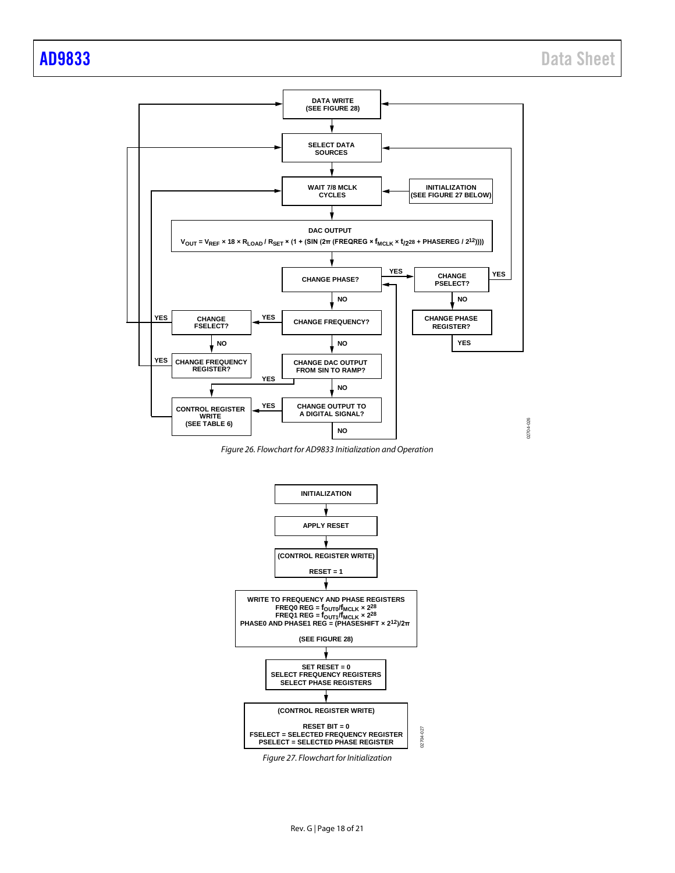

<span id="page-17-0"></span>*Figure 26. Flowchart for AD9833 Initialization and Operation*



*Figure 27. Flowchart for Initialization*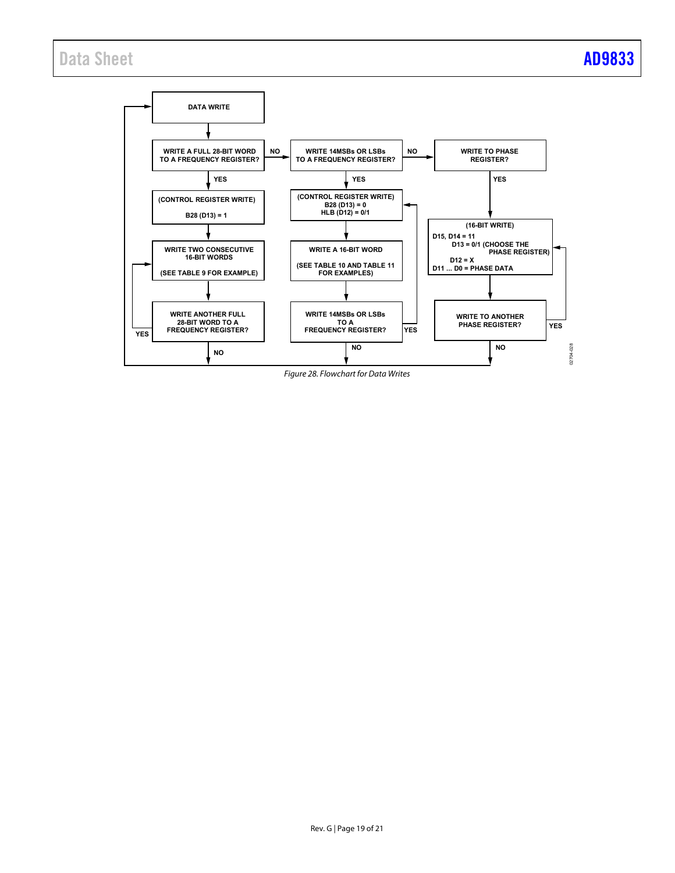# Data Sheet **[AD9833](https://www.analog.com/ad9833?doc=ad9833.pdf)**



<span id="page-18-0"></span>Figure 28. Flowchart for Data Writes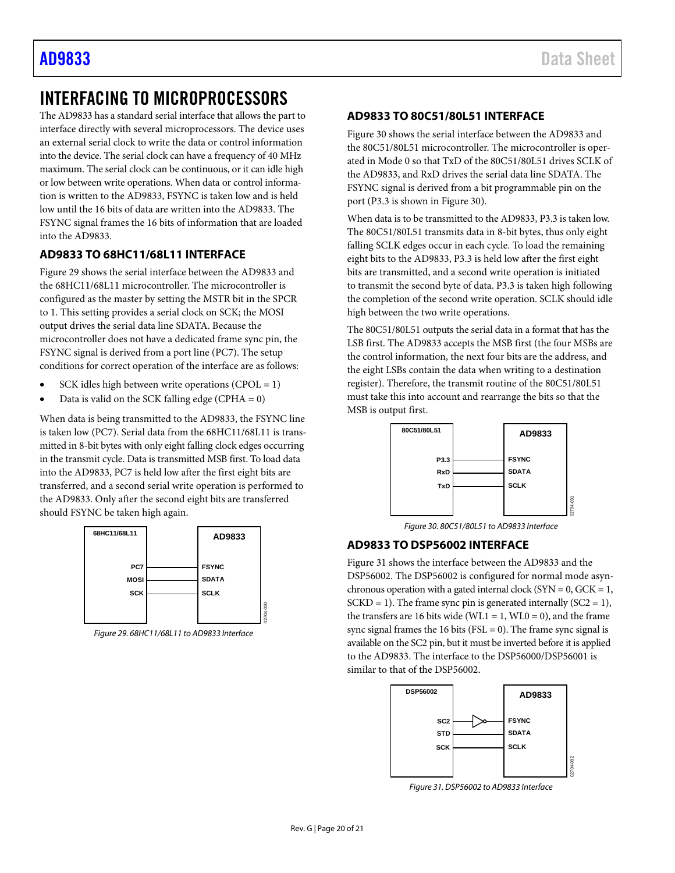# <span id="page-19-0"></span>INTERFACING TO MICROPROCESSORS

The AD9833 has a standard serial interface that allows the part to interface directly with several microprocessors. The device uses an external serial clock to write the data or control information into the device. The serial clock can have a frequency of 40 MHz maximum. The serial clock can be continuous, or it can idle high or low between write operations. When data or control information is written to the AD9833, FSYNC is taken low and is held low until the 16 bits of data are written into the AD9833. The FSYNC signal frames the 16 bits of information that are loaded into the AD9833.

# <span id="page-19-1"></span>**AD9833 TO 68HC11/68L11 INTERFACE**

[Figure 29](#page-19-4) shows the serial interface between the AD9833 and the 68HC11/68L11 microcontroller. The microcontroller is configured as the master by setting the MSTR bit in the SPCR to 1. This setting provides a serial clock on SCK; the MOSI output drives the serial data line SDATA. Because the microcontroller does not have a dedicated frame sync pin, the FSYNC signal is derived from a port line (PC7). The setup conditions for correct operation of the interface are as follows:

- SCK idles high between write operations (CPOL =  $1$ )
- Data is valid on the SCK falling edge (CPHA  $= 0$ )

When data is being transmitted to the AD9833, the FSYNC line is taken low (PC7). Serial data from the 68HC11/68L11 is transmitted in 8-bit bytes with only eight falling clock edges occurring in the transmit cycle. Data is transmitted MSB first. To load data into the AD9833, PC7 is held low after the first eight bits are transferred, and a second serial write operation is performed to the AD9833. Only after the second eight bits are transferred should FSYNC be taken high again.



<span id="page-19-4"></span>*Figure 29. 68HC11/68L11 to AD9833 Interface*

### <span id="page-19-2"></span>**AD9833 TO 80C51/80L51 INTERFACE**

[Figure 30](#page-19-5) shows the serial interface between the AD9833 and the 80C51/80L51 microcontroller. The microcontroller is operated in Mode 0 so that TxD of the 80C51/80L51 drives SCLK of the AD9833, and RxD drives the serial data line SDATA. The FSYNC signal is derived from a bit programmable pin on the port (P3.3 is shown i[n Figure 30\)](#page-19-5).

When data is to be transmitted to the AD9833, P3.3 is taken low. The 80C51/80L51 transmits data in 8-bit bytes, thus only eight falling SCLK edges occur in each cycle. To load the remaining eight bits to the AD9833, P3.3 is held low after the first eight bits are transmitted, and a second write operation is initiated to transmit the second byte of data. P3.3 is taken high following the completion of the second write operation. SCLK should idle high between the two write operations.

The 80C51/80L51 outputs the serial data in a format that has the LSB first. The AD9833 accepts the MSB first (the four MSBs are the control information, the next four bits are the address, and the eight LSBs contain the data when writing to a destination register). Therefore, the transmit routine of the 80C51/80L51 must take this into account and rearrange the bits so that the MSB is output first.



*Figure 30. 80C51/80L51 to AD9833 Interface*

# <span id="page-19-5"></span><span id="page-19-3"></span>**AD9833 TO DSP56002 INTERFACE**

[Figure 31](#page-19-6) shows the interface between the AD9833 and the DSP56002. The DSP56002 is configured for normal mode asynchronous operation with a gated internal clock ( $SYN = 0$ ,  $GCK = 1$ ,  $SCKD = 1$ ). The frame sync pin is generated internally  $(SC2 = 1)$ , the transfers are 16 bits wide (WL1 = 1, WL0 = 0), and the frame sync signal frames the 16 bits ( $FSL = 0$ ). The frame sync signal is available on the SC2 pin, but it must be inverted before it is applied to the AD9833. The interface to the DSP56000/DSP56001 is similar to that of the DSP56002.



<span id="page-19-6"></span>*Figure 31. DSP56002 to AD9833 Interface*